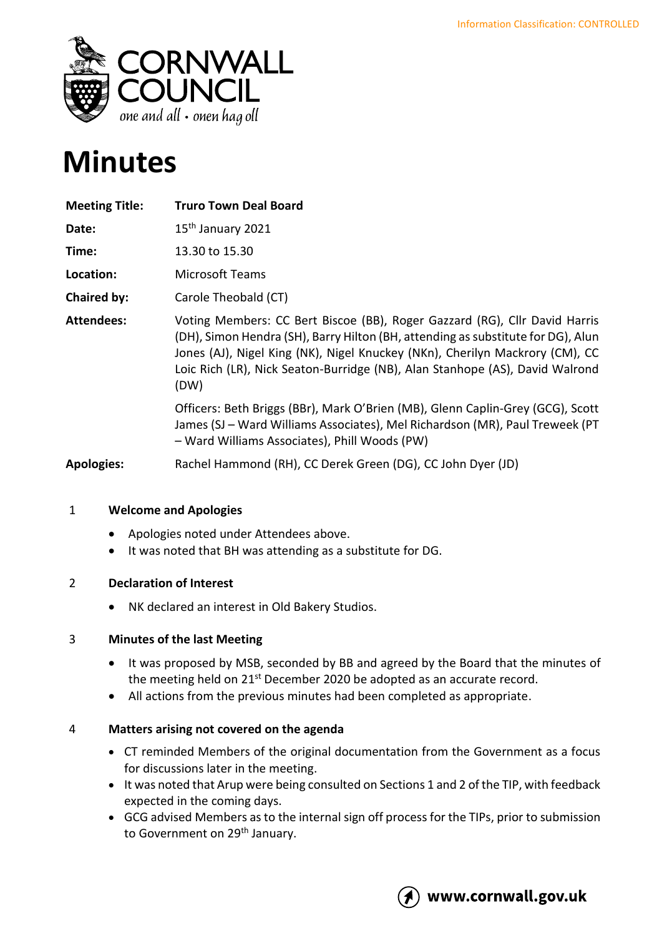

# **Minutes**

| <b>Meeting Title:</b> | <b>Truro Town Deal Board</b>                                                                                                                                                                                                                                                                                                           |
|-----------------------|----------------------------------------------------------------------------------------------------------------------------------------------------------------------------------------------------------------------------------------------------------------------------------------------------------------------------------------|
| Date:                 | 15 <sup>th</sup> January 2021                                                                                                                                                                                                                                                                                                          |
| Time:                 | 13.30 to 15.30                                                                                                                                                                                                                                                                                                                         |
| Location:             | <b>Microsoft Teams</b>                                                                                                                                                                                                                                                                                                                 |
| Chaired by:           | Carole Theobald (CT)                                                                                                                                                                                                                                                                                                                   |
| <b>Attendees:</b>     | Voting Members: CC Bert Biscoe (BB), Roger Gazzard (RG), Cllr David Harris<br>(DH), Simon Hendra (SH), Barry Hilton (BH, attending as substitute for DG), Alun<br>Jones (AJ), Nigel King (NK), Nigel Knuckey (NKn), Cherilyn Mackrory (CM), CC<br>Loic Rich (LR), Nick Seaton-Burridge (NB), Alan Stanhope (AS), David Walrond<br>(DW) |
|                       | Officers: Beth Briggs (BBr), Mark O'Brien (MB), Glenn Caplin-Grey (GCG), Scott<br>James (SJ - Ward Williams Associates), Mel Richardson (MR), Paul Treweek (PT<br>- Ward Williams Associates), Phill Woods (PW)                                                                                                                        |
| <b>Apologies:</b>     | Rachel Hammond (RH), CC Derek Green (DG), CC John Dyer (JD)                                                                                                                                                                                                                                                                            |

# 1 **Welcome and Apologies**

- Apologies noted under Attendees above.
- It was noted that BH was attending as a substitute for DG.

### 2 **Declaration of Interest**

• NK declared an interest in Old Bakery Studios.

### 3 **Minutes of the last Meeting**

- It was proposed by MSB, seconded by BB and agreed by the Board that the minutes of the meeting held on 21<sup>st</sup> December 2020 be adopted as an accurate record.
- All actions from the previous minutes had been completed as appropriate.

# 4 **Matters arising not covered on the agenda**

- CT reminded Members of the original documentation from the Government as a focus for discussions later in the meeting.
- It was noted that Arup were being consulted on Sections 1 and 2 of the TIP, with feedback expected in the coming days.
- GCG advised Members as to the internal sign off process for the TIPs, prior to submission to Government on 29<sup>th</sup> January.

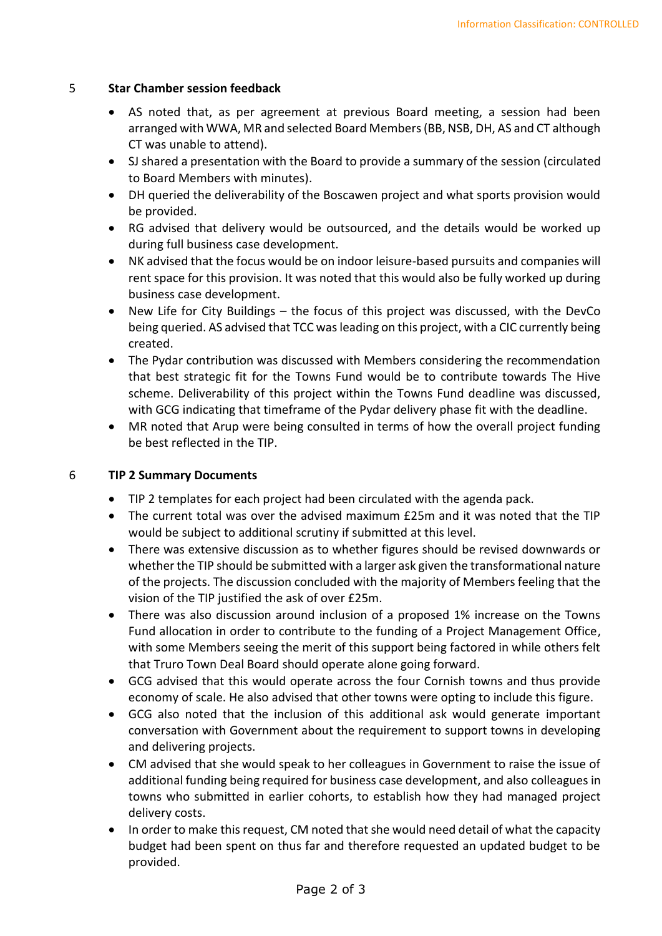## 5 **Star Chamber session feedback**

- AS noted that, as per agreement at previous Board meeting, a session had been arranged with WWA, MR and selected Board Members (BB, NSB, DH, AS and CT although CT was unable to attend).
- SJ shared a presentation with the Board to provide a summary of the session (circulated to Board Members with minutes).
- DH queried the deliverability of the Boscawen project and what sports provision would be provided.
- RG advised that delivery would be outsourced, and the details would be worked up during full business case development.
- NK advised that the focus would be on indoor leisure-based pursuits and companies will rent space for this provision. It was noted that this would also be fully worked up during business case development.
- New Life for City Buildings the focus of this project was discussed, with the DevCo being queried. AS advised that TCC was leading on this project, with a CIC currently being created.
- The Pydar contribution was discussed with Members considering the recommendation that best strategic fit for the Towns Fund would be to contribute towards The Hive scheme. Deliverability of this project within the Towns Fund deadline was discussed, with GCG indicating that timeframe of the Pydar delivery phase fit with the deadline.
- MR noted that Arup were being consulted in terms of how the overall project funding be best reflected in the TIP.

## 6 **TIP 2 Summary Documents**

- TIP 2 templates for each project had been circulated with the agenda pack.
- The current total was over the advised maximum £25m and it was noted that the TIP would be subject to additional scrutiny if submitted at this level.
- There was extensive discussion as to whether figures should be revised downwards or whether the TIP should be submitted with a larger ask given the transformational nature of the projects. The discussion concluded with the majority of Members feeling that the vision of the TIP justified the ask of over £25m.
- There was also discussion around inclusion of a proposed 1% increase on the Towns Fund allocation in order to contribute to the funding of a Project Management Office, with some Members seeing the merit of this support being factored in while others felt that Truro Town Deal Board should operate alone going forward.
- GCG advised that this would operate across the four Cornish towns and thus provide economy of scale. He also advised that other towns were opting to include this figure.
- GCG also noted that the inclusion of this additional ask would generate important conversation with Government about the requirement to support towns in developing and delivering projects.
- CM advised that she would speak to her colleagues in Government to raise the issue of additional funding being required for business case development, and also colleagues in towns who submitted in earlier cohorts, to establish how they had managed project delivery costs.
- In order to make this request, CM noted that she would need detail of what the capacity budget had been spent on thus far and therefore requested an updated budget to be provided.